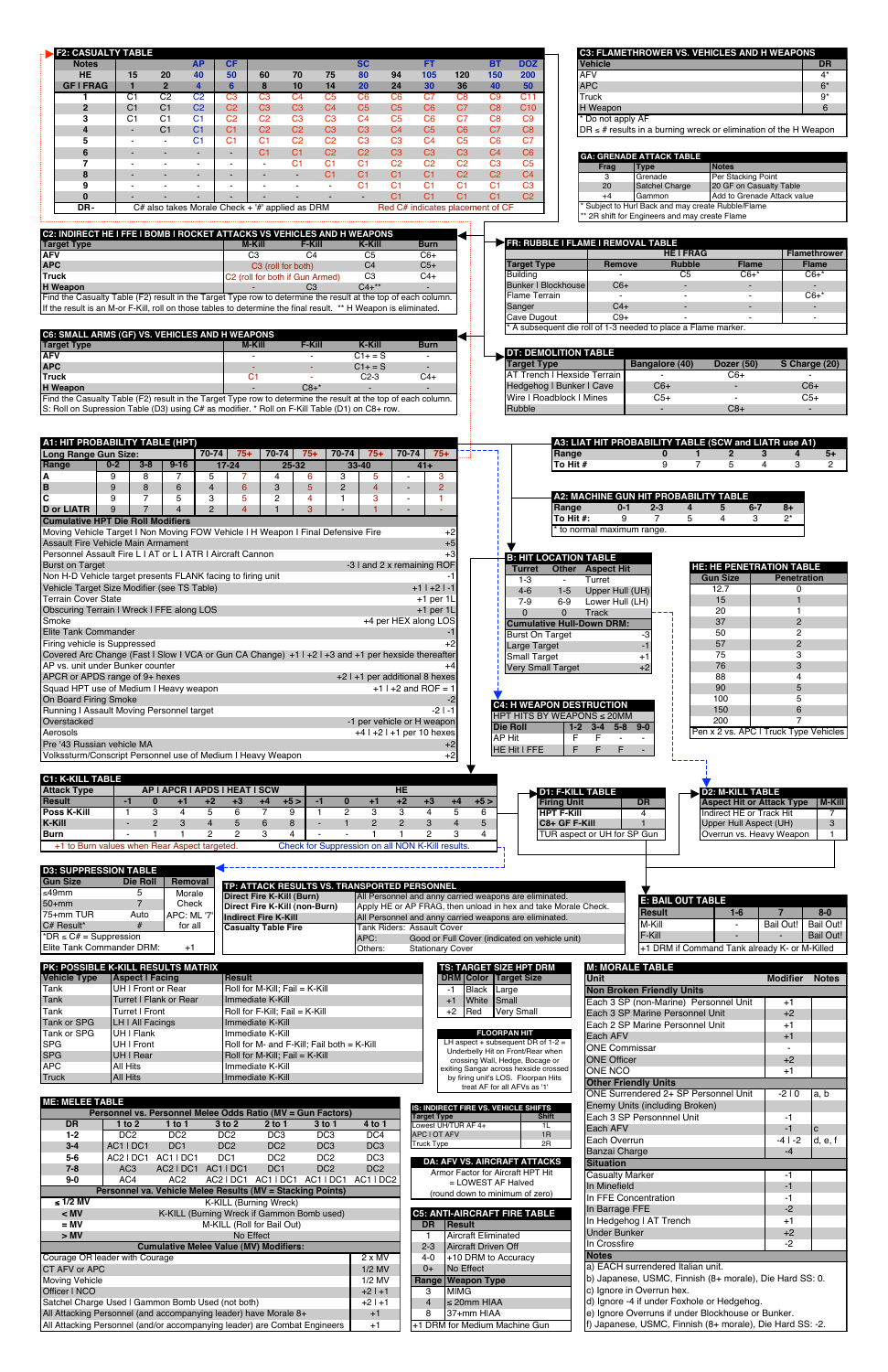| <b>F2: CASUALTY TABLE</b><br><b>AP</b><br><b>Notes</b><br><b>HE</b><br>15<br>20<br>40<br>2 <sup>2</sup><br>$\overline{4}$<br><b>GFIFRAG</b><br>$\mathbf{1}$<br>C <sub>2</sub><br>C <sub>1</sub><br>C <sub>2</sub><br>$\mathbf{1}$<br>C <sub>2</sub><br>$\overline{2}$<br>C <sub>1</sub><br>C <sub>1</sub><br>3<br>C <sub>1</sub><br>C <sub>1</sub><br>C <sub>1</sub><br>C <sub>1</sub><br>$\overline{\mathbf{4}}$<br>C <sub>1</sub><br>$\blacksquare$<br>C <sub>1</sub><br>5<br>$\sim$<br>$\sim$<br>6<br>$\blacksquare$<br>7<br>$\sim$<br>8<br>9<br>$\sim$<br>$\bf{0}$                                                                                                                                                                                                                                                                                                                                                                                                                                                                                                                                                                                                                                                                                       | SC<br><b>CF</b><br>50<br>60<br>70<br>75<br>80<br>6<br>8<br>10<br>14<br>20<br>C <sub>3</sub><br>C <sub>3</sub><br>C <sub>4</sub><br>C <sub>5</sub><br>C <sub>6</sub><br>C <sub>2</sub><br>C <sub>3</sub><br>C <sub>3</sub><br>C <sub>4</sub><br>C <sub>5</sub><br>C <sub>2</sub><br>C <sub>2</sub><br>C <sub>3</sub><br>C <sub>3</sub><br>C <sub>4</sub><br>C <sub>2</sub><br>C <sub>2</sub><br>C3<br>C3<br>C <sub>1</sub><br>C <sub>2</sub><br>C <sub>2</sub><br>C <sub>3</sub><br>C <sub>1</sub><br>C <sub>1</sub><br>C1<br>C <sub>2</sub><br>C <sub>2</sub><br>C1<br>$\blacksquare$<br>C <sub>1</sub><br>C1<br>C1<br>$\sim$<br>$\sim$<br>C <sub>1</sub><br>C <sub>1</sub><br>C <sub>1</sub><br>$\sim$<br>$\sim$<br>$\sim$<br>$\blacksquare$<br>$\sim$ | <b>DOZ</b><br>FT.<br><b>BT</b><br>94<br>105<br>120<br>150<br><b>200</b><br>36<br>50<br>24<br>30<br>40<br>C6<br>C <sub>7</sub><br>C <sub>8</sub><br>C <sub>9</sub><br>C <sub>11</sub><br>C <sub>8</sub><br>C <sub>5</sub><br>C <sub>6</sub><br>C <sub>7</sub><br>C10<br>C <sub>5</sub><br>C9<br>C <sub>6</sub><br>C7<br>C <sub>8</sub><br>C <sub>4</sub><br>C <sub>5</sub><br>C6<br>C7<br>C8<br>C <sub>3</sub><br>C <sub>5</sub><br>C6<br>C <sub>7</sub><br>C <sub>4</sub><br>C3<br>C3<br>C3<br>C <sub>4</sub><br>C6<br>C <sub>2</sub><br>C <sub>2</sub><br>C <sub>2</sub><br>C <sub>3</sub><br>C <sub>5</sub><br>C1<br>C1<br>C <sub>2</sub><br>C <sub>2</sub><br>C <sub>4</sub><br>C <sub>3</sub><br>C <sub>1</sub><br>C <sub>1</sub><br>C <sub>1</sub><br>C <sub>1</sub><br>C1<br>C <sub>1</sub><br>C1<br>C <sub>2</sub><br>C <sub>1</sub> | <b>C3: FLAMETHROWER VS. VEHICLES AND H WEAPONS</b><br><b>Vehicle</b><br><b>DR</b><br><b>AFV</b><br>$4^*$<br><b>APC</b><br>$6*$<br>Truck<br>$9*$<br>H Weapon<br>6<br>Do not apply AF<br>$\overline{DR} \leq #$ results in a burning wreck or elimination of the H Weapon<br><b>GA: GRENADE ATTACK TABLE</b><br><b>Notes</b><br>Frag<br><b>Type</b><br>Per Stacking Point<br>3<br>Grenade<br>20<br>Satchel Charge<br>20 GF on Casualty Table<br>$+4$<br>Gammon<br>Add to Grenade Attack value                                                                                                                                                                                                                                                                                                                                                                                                                                                                                                                                                                             |
|--------------------------------------------------------------------------------------------------------------------------------------------------------------------------------------------------------------------------------------------------------------------------------------------------------------------------------------------------------------------------------------------------------------------------------------------------------------------------------------------------------------------------------------------------------------------------------------------------------------------------------------------------------------------------------------------------------------------------------------------------------------------------------------------------------------------------------------------------------------------------------------------------------------------------------------------------------------------------------------------------------------------------------------------------------------------------------------------------------------------------------------------------------------------------------------------------------------------------------------------------------------|---------------------------------------------------------------------------------------------------------------------------------------------------------------------------------------------------------------------------------------------------------------------------------------------------------------------------------------------------------------------------------------------------------------------------------------------------------------------------------------------------------------------------------------------------------------------------------------------------------------------------------------------------------------------------------------------------------------------------------------------------------|---------------------------------------------------------------------------------------------------------------------------------------------------------------------------------------------------------------------------------------------------------------------------------------------------------------------------------------------------------------------------------------------------------------------------------------------------------------------------------------------------------------------------------------------------------------------------------------------------------------------------------------------------------------------------------------------------------------------------------------------------------------------------------------------------------------------------------------------|-------------------------------------------------------------------------------------------------------------------------------------------------------------------------------------------------------------------------------------------------------------------------------------------------------------------------------------------------------------------------------------------------------------------------------------------------------------------------------------------------------------------------------------------------------------------------------------------------------------------------------------------------------------------------------------------------------------------------------------------------------------------------------------------------------------------------------------------------------------------------------------------------------------------------------------------------------------------------------------------------------------------------------------------------------------------------|
| DR-<br>C2: INDIRECT HE I FFE I BOMB I ROCKET ATTACKS VS VEHICLES AND H WEAPONS<br><b>Target Type</b><br><b>AFV</b><br><b>APC</b><br>Truck<br>H Weapon<br>Find the Casualty Table (F2) result in the Target Type row to determine the result at the top of each column.<br>If the result is an M-or F-Kill, roll on those tables to determine the final result. ** H Weapon is eliminated.<br>C6: SMALL ARMS (GF) VS. VEHICLES AND H WEAPONS<br><b>Target Type</b><br><b>AFV</b><br><b>APC</b><br>Truck<br>H Weapon<br>Find the Casualty Table (F2) result in the Target Type row to determine the result at the top of each column.<br>S: Roll on Supression Table (D3) using C# as modifier. * Roll on F-Kill Table (D1) on C8+ row.                                                                                                                                                                                                                                                                                                                                                                                                                                                                                                                        | $C#$ also takes Morale Check + $H$ applied as DRM<br><b>F-Kill</b><br><b>M-Kill</b><br>C <sub>4</sub><br>C <sub>3</sub><br>C3 (roll for both)<br>C2 (roll for both if Gun Armed)<br>C <sub>3</sub><br><b>F-Kill</b><br><b>M-Kill</b><br>$\blacksquare$<br>÷.<br>C <sub>1</sub><br>$\sim$<br>$C8+$                                                                                                                                                                                                                                                                                                                                                                                                                                                       | Red C# indicates placement of CF<br><b>K-Kill</b><br><b>Burn</b><br>C <sub>5</sub><br>$C6+$<br><b>Target Type</b><br>C <sub>4</sub><br>$C5+$<br><b>Building</b><br>C <sub>3</sub><br>$C4+$<br><b>Bunker I Blockhouse</b><br>$C4+***$<br>Flame Terrain<br>Sanger<br>Cave Dugout<br><b>K-Kill</b><br><b>Burn</b><br><b>DT: DEMOLITION TABLE</b><br>$C1+=S$<br><b>Target Type</b><br>$C1+ = S$<br>$C2-3$<br>$C4+$<br>Wire   Roadblock   Mines<br>Rubble                                                                                                                                                                                                                                                                                                                                                                                        | Subject to Hurl Back and may create Rubble/Flame<br>* 2R shift for Engineers and may create Flame<br>FR: RUBBLE I FLAME I REMOVAL TABLE<br><b>HEIFRAG</b><br><b>Flamethrower</b><br><b>Rubble</b><br>Remove<br><b>Flame</b><br><b>Flame</b><br>$C6+$<br>C <sub>5</sub><br>$C6+$ *<br>$\sim$<br>$C6+$<br>$\blacksquare$<br>$C6+$<br>$\sim$<br>$C4+$<br>$\overline{a}$<br>$C9+$<br>$\blacksquare$<br>$\overline{\phantom{a}}$<br>A subsequent die roll of 1-3 needed to place a Flame marker.<br><b>Bangalore (40)</b><br><b>Dozer (50)</b><br>S Charge (20)<br>AT Trench I Hexside Terrain<br>$C6+$<br>$C6+$<br>Hedgehog I Bunker I Cave<br>$C6+$<br>$C5+$<br>$C5+$<br>$\blacksquare$<br>$C8+$<br>$\sim$                                                                                                                                                                                                                                                                                                                                                                 |
| A1: HIT PROBABILITY TABLE (HPT)<br>Long Range Gun Size:<br>70-74<br>Range<br>$0 - 2$<br>$3 - 8$<br>$9 - 16$<br>9<br>8<br>А<br>7<br>5<br>B<br>9<br>8<br>6<br>$\overline{\mathbf{4}}$<br>$\overline{c}$<br>5<br>3<br>9<br>7<br>$\overline{2}$<br>9<br>$\overline{7}$<br>$\overline{4}$<br><b>D</b> or LIATR<br><b>Cumulative HPT Die Roll Modifiers</b><br>Moving Vehicle Target I Non Moving FOW Vehicle I H Weapon I Final Defensive Fire<br><b>Assault Fire Vehicle Main Armament</b><br>Personnel Assault Fire L   AT or L   ATR   Aircraft Cannon<br><b>Burst on Target</b><br>Non H-D Vehicle target presents FLANK facing to firing unit<br>Vehicle Target Size Modifier (see TS Table)<br><b>Terrain Cover State</b><br>Obscuring Terrain I Wreck I FFE along LOS<br>Smoke<br>Elite Tank Commander<br>Firing vehicle is Suppressed<br>Covered Arc Change (Fast I Slow I VCA or Gun CA Change) +1 I +2 I +3 and +1 per hexside thereafter<br>AP vs. unit under Bunker counter<br>APCR or APDS range of 9+ hexes<br>Squad HPT use of Medium I Heavy weapon<br>On Board Firing Smoke<br>Running I Assault Moving Personnel target<br>Overstacked<br>Aerosols<br>Pre '43 Russian vehicle MA<br>Volkssturm/Conscript Personnel use of Medium I Heavy Weapon | $70-74$<br>$70-74$<br>$75+$<br>$75+$<br>$17 - 24$<br>25-32<br>33-40<br>3<br>4<br>6<br>$6\phantom{1}$<br>3<br>5<br>$\overline{2}$<br>2<br>5<br>4<br>1<br>$\overline{4}$<br>3<br>$\mathbf{1}$                                                                                                                                                                                                                                                                                                                                                                                                                                                                                                                                                             | $70 - 74$<br>$75+$<br>$75+$<br>$41+$<br>3<br>5<br>$\overline{4}$<br>$\overline{2}$<br>$\sim$<br>3<br>1.<br>$\sim$<br>$+2$<br>$+5$<br>$+3$<br>-3 I and 2 x remaining ROF<br>Turret<br>$1 - 3$<br>$+1$   $+2$   -1<br>$4 - 6$<br>$+1$ per $1L$<br>$7-9$<br>$+1$ per $1L$<br>$\Omega$<br>+4 per HEX along LOS<br><b>Burst On Target</b><br>Large Target<br><b>Small Target</b><br>Very Small Target<br>$+2$ I +1 per additional 8 hexes<br>+1 $\vert$ +2 and ROF = 1<br>-2<br>$-2$   $-1$<br>-1 per vehicle or H weapon<br><b>Die Roll</b><br>$+4$   $+2$   $+1$ per 10 hexes<br><b>AP Hit</b><br>$+2$<br>HE Hit I FFE<br>$+2$                                                                                                                                                                                                                 | A3: LIAT HIT PROBABILITY TABLE (SCW and LIATR use A1)<br>Range<br>$\mathbf{2}$<br>4<br>$\bf{0}$<br>3<br>$5+$<br>1<br>To Hit #<br>9<br>$\overline{7}$<br>5<br>3<br>$\mathbf{2}$<br>4<br><b>A2: MACHINE GUN HIT PROBABILITY TABLE</b><br>Range<br>$0 - 1$<br>$2 - 3$<br>5<br>$6 - 7$<br>$8+$<br>4<br>To Hit #:<br>9<br>7<br>5<br>3<br>$2^*$<br>4<br>to normal maximum range.<br><b>B: HIT LOCATION TABLE</b><br><b>HE: HE PENETRATION TABLE</b><br>Other<br><b>Aspect Hit</b><br><b>Gun Size</b><br><b>Penetration</b><br>Turret<br>$\sim$<br>12.7<br>$\Omega$<br>Upper Hull (UH)<br>$1 - 5$<br>15<br>Lower Hull (LH)<br>$6-9$<br>20<br>-1<br>$\mathbf{0}$<br><b>Track</b><br>37<br>$\overline{2}$<br><b>Cumulative Hull-Down DRM:</b><br>50<br>2<br>-3<br>57<br>$\overline{2}$<br>$-1$<br>75<br>3<br>$+1$<br>76<br>3<br>$+2$<br>88<br>4<br>90<br>5<br>100<br>5<br><b>C4: H WEAPON DESTRUCTION</b><br>150<br>6<br><b>HPT HITS BY WEAPONS ≤ 20MM</b><br>200<br>7<br>$1-2$ $3-4$ $5-8$ $9-0$<br>Pen x 2 vs. APC I Truck Type Vehicles<br>F<br>F.<br>$\sim$<br>F.<br>F.<br>F |
| <b>C1: K-KILL TABLE</b><br><b>Attack Type</b><br>AP I APCR I APDS I HEAT I SCW<br>Result<br>$-1$<br>$\bf{0}$<br>$+1$<br>$+2$<br><b>Poss K-Kill</b><br>$\overline{5}$<br>3<br>$\overline{4}$<br>$\overline{1}$<br><b>K-Kill</b><br>$\overline{2}$<br>3<br>$\overline{4}$<br>$\blacksquare$<br><b>Burn</b><br>$\overline{2}$<br>$\mathbf{1}$<br>$\mathbf{1}$<br>+1 to Burn values when Rear Aspect targeted.<br><b>D3: SUPPRESSION TABLE</b><br><b>Gun Size</b><br>Removal<br>Die Roll<br>≤49mm<br>5<br>Morale<br>$\overline{7}$<br>Check<br>50+mm<br>75+mm TUR<br>Auto<br>APC: ML '7<br>#<br>C# Result*<br>for all                                                                                                                                                                                                                                                                                                                                                                                                                                                                                                                                                                                                                                            | $+4$<br>$+5>$<br>$-1$<br>$\bf{0}$<br>$+3$<br>$\overline{2}$<br>6<br>$\overline{7}$<br>9<br>$\mathbf{1}$<br>5<br>6<br>8<br>$\mathbf{1}$<br>$\blacksquare$<br>3<br>$\overline{2}$<br>4<br>TP: ATTACK RESULTS VS. TRANSPORTED PERSONNEL<br><b>Direct Fire K-Kill (Burn)</b><br>Direct Fire K-Kill (non-Burn)<br><b>Indirect Fire K-Kill</b><br><b>Casualty Table Fire</b>                                                                                                                                                                                                                                                                                                                                                                                  | <b>HE</b><br>$+2$<br>$+5>$<br>$+1$<br>$+3$<br>$+4$<br>$\overline{3}$<br>$\overline{3}$<br>4<br>5<br>6<br>$\overline{2}$<br>$\overline{2}$<br>3<br>$\overline{4}$<br>5<br>$\overline{2}$<br>3<br>$\mathbf{1}$<br>-1<br>4<br>Check for Suppression on all NON K-Kill results.<br>All Personnel and anny carried weapons are eliminated.<br>Apply HE or AP FRAG, then unload in hex and take Morale Check.<br>All Personnel and anny carried weapons are eliminated.<br><b>Tank Riders: Assault Cover</b>                                                                                                                                                                                                                                                                                                                                      | D1: F-KILL TABLE<br><b>D2: M-KILL TABLE</b><br><b>Aspect Hit or Attack Type</b><br><b>Firing Unit</b><br><b>DR</b><br><b>M-Kill</b><br><b>HPT F-Kill</b><br>Indirect HE or Track Hit<br>4<br>7<br>C8+ GF F-Kill<br>Upper Hull Aspect (UH)<br>3<br>TUR aspect or UH for SP Gun<br>Overrun vs. Heavy Weapon<br>$\mathbf{1}$<br><b>E: BAIL OUT TABLE</b><br>$8-0$<br><b>Result</b><br>$1-6$<br>$\overline{7}$<br>M-Kill<br>Bail Out!<br>Bail Out!                                                                                                                                                                                                                                                                                                                                                                                                                                                                                                                                                                                                                          |
| *DR $\leq$ C# = Suppression<br>Elite Tank Commander DRM:<br>$+1$<br>PK: POSSIBLE K-KILL RESULTS MATRIX<br><b>Vehicle Type</b><br><b>Aspect I Facing</b><br>UH I Front or Rear<br>Tank<br>Tank<br>Turret I Flank or Rear<br>Tank<br>Turret I Front<br><b>Tank or SPG</b><br><b>LH I All Facings</b><br>Tank or SPG<br>UH I Flank<br><b>SPG</b><br>UH I Front<br><b>SPG</b><br>UH I Rear<br><b>APC</b><br>All Hits<br><b>Truck</b><br><b>All Hits</b>                                                                                                                                                                                                                                                                                                                                                                                                                                                                                                                                                                                                                                                                                                                                                                                                          | <b>Result</b><br>Roll for M-Kill; Fail = K-Kill<br>Immediate K-Kill<br>Roll for F-Kill; Fail = K-Kill<br>Immediate K-Kill<br>Immediate K-Kill<br>Roll for M- and F-Kill; Fail both $=$ K-Kill<br>Roll for M-Kill; Fail = K-Kill<br>Immediate K-Kill<br>Immediate K-Kill                                                                                                                                                                                                                                                                                                                                                                                                                                                                                 | APC:<br>Good or Full Cover (indicated on vehicle unit)<br>Others:<br><b>Stationary Cover</b><br><b>TS: TARGET SIZE HPT DRM</b><br><b>DRM Color Target Size</b><br>Black<br>$-1$<br>Large<br>White Small<br>$+1$<br>Red<br>$+2$<br><b>Very Small</b><br><b>FLOORPAN HIT</b><br>LH aspect + subsequent DR of $1-2 =$<br>Underbelly Hit on Front/Rear when<br>crossing Wall, Hedge, Bocage or<br>exiting Sangar across hexside crossed<br>by firing unit's LOS. Floorpan Hits<br>treat AF for all AFVs as '1'                                                                                                                                                                                                                                                                                                                                  | F-Kill<br><b>Bail Out!</b><br>+1 DRM if Command Tank already K- or M-Killed<br><b>M: MORALE TABLE</b><br><b>Unit</b><br><b>Modifier</b><br><b>Notes</b><br><b>Non Broken Friendly Units</b><br>Each 3 SP (non-Marine) Personnel Unit<br>$+1$<br>Each 3 SP Marine Personnel Unit<br>$+2$<br>Each 2 SP Marine Personnel Unit<br>$+1$<br>Each AFV<br>$+1$<br><b>ONE Commissar</b><br><b>ONE Officer</b><br>$+2$<br>ONE NCO<br>$+1$<br><b>Other Friendly Units</b>                                                                                                                                                                                                                                                                                                                                                                                                                                                                                                                                                                                                          |
| <b>ME: MELEE TABLE</b><br><b>DR</b><br>1 to $2$<br>1 to 1<br>DC <sub>2</sub><br>DC <sub>2</sub><br>$1 - 2$<br>$3 - 4$<br>AC1 IDC1<br>DC <sub>1</sub><br>AC2   DC1 AC1   DC1<br>5-6<br>$7 - 8$<br>AC <sub>3</sub><br>AC2   DC1 AC1   DC1<br>$9-0$<br>AC4<br>AC2<br>$\leq 1/2$ MV<br>$<$ MV<br>$= MV$<br>> MV<br>Courage OR leader with Courage<br>CT AFV or APC<br><b>Moving Vehicle</b><br>Officer I NCO<br>Satchel Charge Used I Gammon Bomb Used (not both)                                                                                                                                                                                                                                                                                                                                                                                                                                                                                                                                                                                                                                                                                                                                                                                                | Personnel vs. Personnel Melee Odds Ratio (MV = Gun Factors)<br>3 to 2<br>$2$ to 1<br>$3$ to 1<br>DC <sub>2</sub><br>DC3<br>DC3<br>DC <sub>2</sub><br>DC <sub>2</sub><br>DC <sub>3</sub><br>DC <sub>1</sub><br>DC <sub>2</sub><br>DC <sub>2</sub><br>DC <sub>2</sub><br>DC <sub>1</sub><br>AC2 I DC1 AC1 I DC1 AC1 I DC1<br>Personnel va. Vehicle Melee Results (MV = Stacking Points)<br>K-KILL (Burning Wreck)<br>K-KILL (Burning Wreck if Gammon Bomb used)<br>M-KILL (Roll for Bail Out)<br>No Effect<br><b>Cumulative Melee Value (MV) Modifiers:</b>                                                                                                                                                                                               | IS: INDIRECT FIRE VS. VEHICLE SHIFTS<br><b>Target Type</b><br><b>Shift</b><br>4 to 1<br>Lowest UH/TUR AF 4+<br>1L<br>APC I OT AFV<br>DC4<br>1R<br>2R<br><b>Truck Type</b><br>DC <sub>3</sub><br>DC <sub>3</sub><br><b>DA: AFV VS. AIRCRAFT ATTACKS</b><br>DC <sub>2</sub><br>Armor Factor for Aircraft HPT Hit<br>AC1 IDC2<br>= LOWEST AF Halved<br>(round down to minimum of zero)<br><b>C5: ANTI-AIRCRAFT FIRE TABLE</b><br>Result<br>DR.<br>Aircraft Eliminated<br>-1<br>Aircraft Driven Off<br>$2 - 3$<br>2 x MV<br>+10 DRM to Accuracy<br>4-0<br>$1/2$ MV<br>$0+$<br>No Effect<br>Range   Weapon Type<br>1/2 MV<br><b>MIMG</b><br>$+2$   $+1$<br>3<br>$\leq$ 20mm HIAA<br>$+2$   $+1$<br>$\overline{4}$                                                                                                                                | ONE Surrendered 2+ SP Personnel Unit<br>$-210$<br>la, b<br>Enemy Units (including Broken)<br>Each 3 SP Personnnel Unit<br>-1<br>Each AFV<br>$-1$<br>Each Overrun<br>$-4$   $-2$<br>d, e, f<br>Banzai Charge<br>$-4$<br><b>Situation</b><br><b>Casualty Marker</b><br>-1<br>In Minefield<br>$-1$<br>In FFE Concentration<br>$-1$<br>In Barrage FFE<br>$-2$<br>In Hedgehog I AT Trench<br>$+1$<br>Under Bunker<br>$+2$<br>In Crossfire<br>-2<br><b>Notes</b><br>a) EACH surrendered Italian unit.<br>b) Japanese, USMC, Finnish (8+ morale), Die Hard SS: 0.<br>c) Ignore in Overrun hex.<br>d) Ignore -4 if under Foxhole or Hedgehog.                                                                                                                                                                                                                                                                                                                                                                                                                                   |

| lTank              | ITurret I Front         | $ Roll for F-Kill; Fail = K-Kill$               |
|--------------------|-------------------------|-------------------------------------------------|
| Tank or SPG        | <b>LH I All Facings</b> | Ilmmediate K-Kill                               |
| <b>Tank or SPG</b> | <b>IUH I Flank</b>      | Ilmmediate K-Kill                               |
| <b>ISPG</b>        | UH I Front              | $ Roll$ for M- and F-Kill; Fail both $=$ K-Kill |
| <b>ISPG</b>        | <b>IUH I Rear</b>       | $Roll$ for M-Kill; Fail = K-Kill                |
| <b>APC</b>         | All Hits                | Ilmmediate K-Kill                               |
| Truck              | <b>All Hits</b>         | Ilmmediate K-Kill                               |

| <b>ME: MELEE TABLE</b>                                                                           |                                                                                   |                     |                                               |                            |                     |                 |  |  |  |  |  |  |
|--------------------------------------------------------------------------------------------------|-----------------------------------------------------------------------------------|---------------------|-----------------------------------------------|----------------------------|---------------------|-----------------|--|--|--|--|--|--|
|                                                                                                  | Personnel vs. Personnel Melee Odds Ratio (MV = Gun Factors)                       |                     |                                               |                            |                     |                 |  |  |  |  |  |  |
| <b>DR</b>                                                                                        | 1 to $2$                                                                          | $1$ to $1$          | $3$ to $2$                                    | $2$ to 1                   | $3$ to 1            | 4 to 1          |  |  |  |  |  |  |
| $1 - 2$<br>DC <sub>2</sub><br>DC <sub>2</sub><br>DC <sub>2</sub><br>DC3<br>DC <sub>3</sub>       |                                                                                   |                     |                                               |                            |                     |                 |  |  |  |  |  |  |
| $3 - 4$<br>AC1   DC1<br>DC <sub>1</sub><br>DC <sub>2</sub><br>DC <sub>2</sub><br>DC <sub>3</sub> |                                                                                   |                     |                                               |                            |                     |                 |  |  |  |  |  |  |
| $5-6$                                                                                            |                                                                                   | AC2   DC1 AC1   DC1 | DC <sub>1</sub>                               | DC <sub>2</sub>            | DC <sub>2</sub>     | DC <sub>3</sub> |  |  |  |  |  |  |
| $7 - 8$                                                                                          | AC3                                                                               | AC2   DC1           | AC1 I DC1                                     | DC <sub>1</sub>            | DC <sub>2</sub>     | DC <sub>2</sub> |  |  |  |  |  |  |
| $9-0$                                                                                            | AC4                                                                               | AC <sub>2</sub>     | AC2 I DC1                                     |                            | AC1 I DC1 AC1 I DC1 | AC1   DC2       |  |  |  |  |  |  |
|                                                                                                  | Personnel va. Vehicle Melee Results (MV = Stacking Points)                        |                     |                                               |                            |                     |                 |  |  |  |  |  |  |
| $\leq 1/2$ MV                                                                                    | K-KILL (Burning Wreck)                                                            |                     |                                               |                            |                     |                 |  |  |  |  |  |  |
| $<$ MV                                                                                           |                                                                                   |                     | K-KILL (Burning Wreck if Gammon Bomb used)    |                            |                     |                 |  |  |  |  |  |  |
| $= MV$                                                                                           |                                                                                   |                     |                                               | M-KILL (Roll for Bail Out) |                     |                 |  |  |  |  |  |  |
| > MV                                                                                             |                                                                                   |                     |                                               | No Effect                  |                     |                 |  |  |  |  |  |  |
|                                                                                                  |                                                                                   |                     | <b>Cumulative Melee Value (MV) Modifiers:</b> |                            |                     |                 |  |  |  |  |  |  |
| Courage OR leader with Courage                                                                   |                                                                                   |                     |                                               |                            |                     | $2 \times MV$   |  |  |  |  |  |  |
| CT AFV or APC                                                                                    |                                                                                   |                     |                                               |                            |                     | $1/2$ MV        |  |  |  |  |  |  |
| Moving Vehicle                                                                                   |                                                                                   |                     |                                               |                            |                     | $1/2$ MV        |  |  |  |  |  |  |
| Officer   NCO                                                                                    | $+2$   $+1$                                                                       |                     |                                               |                            |                     |                 |  |  |  |  |  |  |
| Satchel Charge Used I Gammon Bomb Used (not both)                                                |                                                                                   |                     |                                               |                            |                     | $+2$   $+1$     |  |  |  |  |  |  |
| All Attacking Personnel (and accompanying leader) have Morale 8+                                 |                                                                                   |                     |                                               |                            |                     | $+1$            |  |  |  |  |  |  |
|                                                                                                  | All Attacking Personnel (and/or accompanying leader) are Combat Engineers<br>$+1$ |                     |                                               |                            |                     |                 |  |  |  |  |  |  |